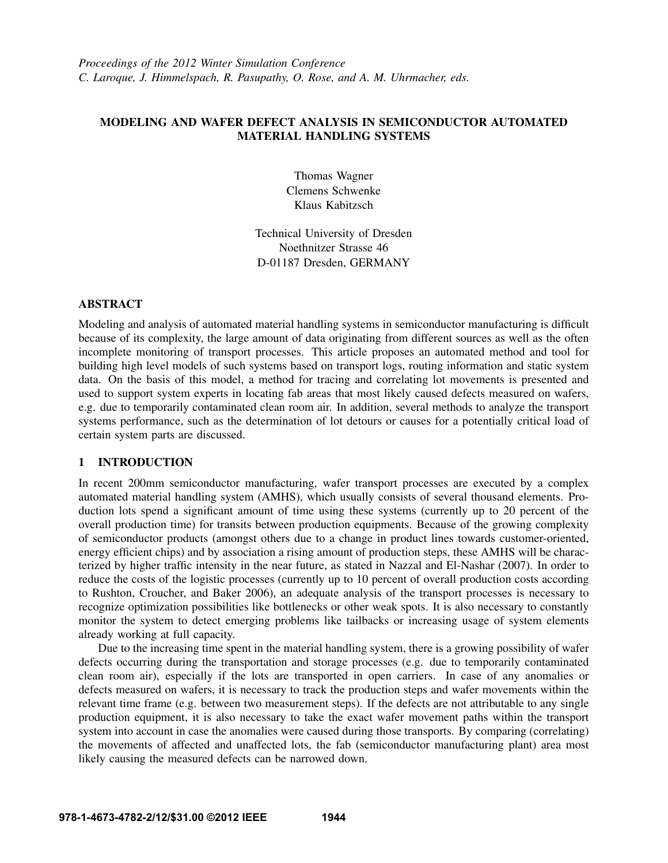# MODELING AND WAFER DEFECT ANALYSIS IN SEMICONDUCTOR AUTOMATED MATERIAL HANDLING SYSTEMS

Thomas Wagner Clemens Schwenke Klaus Kabitzsch

Technical University of Dresden Noethnitzer Strasse 46 D-01187 Dresden, GERMANY

### ABSTRACT

Modeling and analysis of automated material handling systems in semiconductor manufacturing is difficult because of its complexity, the large amount of data originating from different sources as well as the often incomplete monitoring of transport processes. This article proposes an automated method and tool for building high level models of such systems based on transport logs, routing information and static system data. On the basis of this model, a method for tracing and correlating lot movements is presented and used to support system experts in locating fab areas that most likely caused defects measured on wafers, e.g. due to temporarily contaminated clean room air. In addition, several methods to analyze the transport systems performance, such as the determination of lot detours or causes for a potentially critical load of certain system parts are discussed.

### 1 INTRODUCTION

In recent 200mm semiconductor manufacturing, wafer transport processes are executed by a complex automated material handling system (AMHS), which usually consists of several thousand elements. Production lots spend a significant amount of time using these systems (currently up to 20 percent of the overall production time) for transits between production equipments. Because of the growing complexity of semiconductor products (amongst others due to a change in product lines towards customer-oriented, energy efficient chips) and by association a rising amount of production steps, these AMHS will be characterized by higher traffic intensity in the near future, as stated in Nazzal and El-Nashar (2007). In order to reduce the costs of the logistic processes (currently up to 10 percent of overall production costs according to Rushton, Croucher, and Baker 2006), an adequate analysis of the transport processes is necessary to recognize optimization possibilities like bottlenecks or other weak spots. It is also necessary to constantly monitor the system to detect emerging problems like tailbacks or increasing usage of system elements already working at full capacity.

Due to the increasing time spent in the material handling system, there is a growing possibility of wafer defects occurring during the transportation and storage processes (e.g. due to temporarily contaminated clean room air), especially if the lots are transported in open carriers. In case of any anomalies or defects measured on wafers, it is necessary to track the production steps and wafer movements within the relevant time frame (e.g. between two measurement steps). If the defects are not attributable to any single production equipment, it is also necessary to take the exact wafer movement paths within the transport system into account in case the anomalies were caused during those transports. By comparing (correlating) the movements of affected and unaffected lots, the fab (semiconductor manufacturing plant) area most likely causing the measured defects can be narrowed down.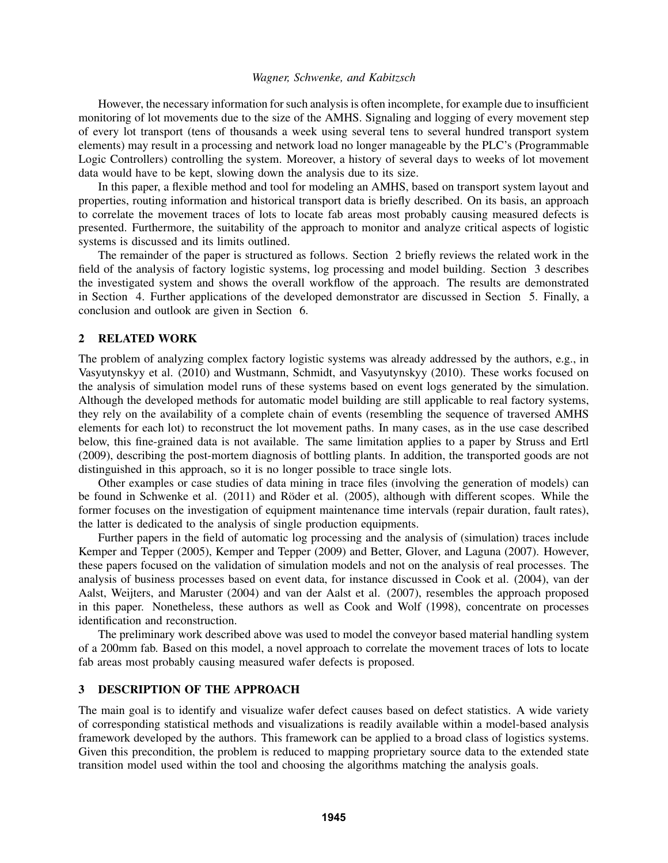However, the necessary information for such analysis is often incomplete, for example due to insufficient monitoring of lot movements due to the size of the AMHS. Signaling and logging of every movement step of every lot transport (tens of thousands a week using several tens to several hundred transport system elements) may result in a processing and network load no longer manageable by the PLC's (Programmable Logic Controllers) controlling the system. Moreover, a history of several days to weeks of lot movement data would have to be kept, slowing down the analysis due to its size.

In this paper, a flexible method and tool for modeling an AMHS, based on transport system layout and properties, routing information and historical transport data is briefly described. On its basis, an approach to correlate the movement traces of lots to locate fab areas most probably causing measured defects is presented. Furthermore, the suitability of the approach to monitor and analyze critical aspects of logistic systems is discussed and its limits outlined.

The remainder of the paper is structured as follows. Section 2 briefly reviews the related work in the field of the analysis of factory logistic systems, log processing and model building. Section 3 describes the investigated system and shows the overall workflow of the approach. The results are demonstrated in Section 4. Further applications of the developed demonstrator are discussed in Section 5. Finally, a conclusion and outlook are given in Section 6.

# 2 RELATED WORK

The problem of analyzing complex factory logistic systems was already addressed by the authors, e.g., in Vasyutynskyy et al. (2010) and Wustmann, Schmidt, and Vasyutynskyy (2010). These works focused on the analysis of simulation model runs of these systems based on event logs generated by the simulation. Although the developed methods for automatic model building are still applicable to real factory systems, they rely on the availability of a complete chain of events (resembling the sequence of traversed AMHS elements for each lot) to reconstruct the lot movement paths. In many cases, as in the use case described below, this fine-grained data is not available. The same limitation applies to a paper by Struss and Ertl (2009), describing the post-mortem diagnosis of bottling plants. In addition, the transported goods are not distinguished in this approach, so it is no longer possible to trace single lots.

Other examples or case studies of data mining in trace files (involving the generation of models) can be found in Schwenke et al. (2011) and Röder et al. (2005), although with different scopes. While the former focuses on the investigation of equipment maintenance time intervals (repair duration, fault rates), the latter is dedicated to the analysis of single production equipments.

Further papers in the field of automatic log processing and the analysis of (simulation) traces include Kemper and Tepper (2005), Kemper and Tepper (2009) and Better, Glover, and Laguna (2007). However, these papers focused on the validation of simulation models and not on the analysis of real processes. The analysis of business processes based on event data, for instance discussed in Cook et al. (2004), van der Aalst, Weijters, and Maruster (2004) and van der Aalst et al. (2007), resembles the approach proposed in this paper. Nonetheless, these authors as well as Cook and Wolf (1998), concentrate on processes identification and reconstruction.

The preliminary work described above was used to model the conveyor based material handling system of a 200mm fab. Based on this model, a novel approach to correlate the movement traces of lots to locate fab areas most probably causing measured wafer defects is proposed.

# 3 DESCRIPTION OF THE APPROACH

The main goal is to identify and visualize wafer defect causes based on defect statistics. A wide variety of corresponding statistical methods and visualizations is readily available within a model-based analysis framework developed by the authors. This framework can be applied to a broad class of logistics systems. Given this precondition, the problem is reduced to mapping proprietary source data to the extended state transition model used within the tool and choosing the algorithms matching the analysis goals.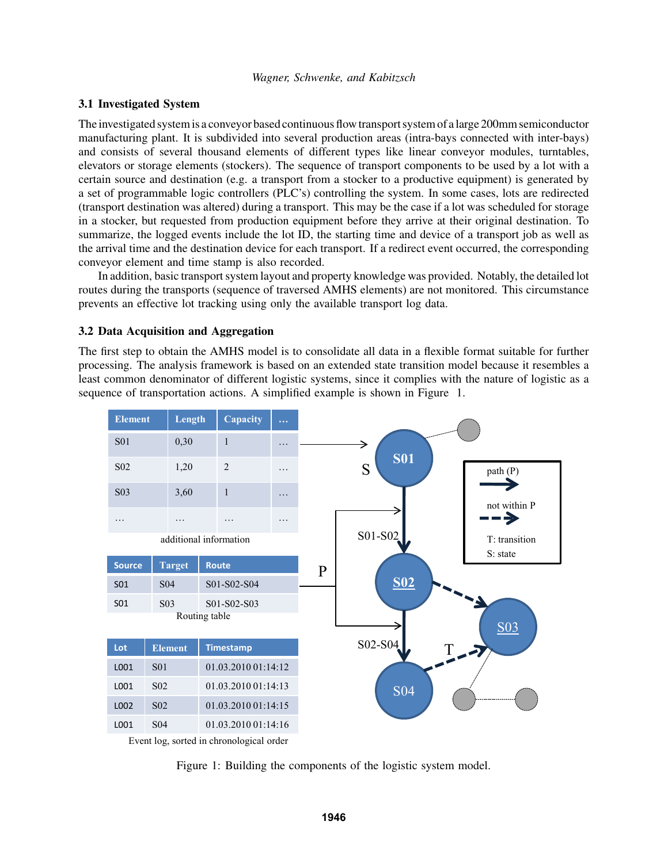# 3.1 Investigated System

The investigated system is a conveyor based continuous flow transport system of a large 200mm semiconductor manufacturing plant. It is subdivided into several production areas (intra-bays connected with inter-bays) and consists of several thousand elements of different types like linear conveyor modules, turntables, elevators or storage elements (stockers). The sequence of transport components to be used by a lot with a certain source and destination (e.g. a transport from a stocker to a productive equipment) is generated by a set of programmable logic controllers (PLC's) controlling the system. In some cases, lots are redirected (transport destination was altered) during a transport. This may be the case if a lot was scheduled for storage in a stocker, but requested from production equipment before they arrive at their original destination. To summarize, the logged events include the lot ID, the starting time and device of a transport job as well as the arrival time and the destination device for each transport. If a redirect event occurred, the corresponding conveyor element and time stamp is also recorded.

In addition, basic transport system layout and property knowledge was provided. Notably, the detailed lot routes during the transports (sequence of traversed AMHS elements) are not monitored. This circumstance prevents an effective lot tracking using only the available transport log data.

# 3.2 Data Acquisition and Aggregation

The first step to obtain the AMHS model is to consolidate all data in a flexible format suitable for further processing. The analysis framework is based on an extended state transition model because it resembles a least common denominator of different logistic systems, since it complies with the nature of logistic as a sequence of transportation actions. A simplified example is shown in Figure 1.



Event log, sorted in chronological order

Figure 1: Building the components of the logistic system model.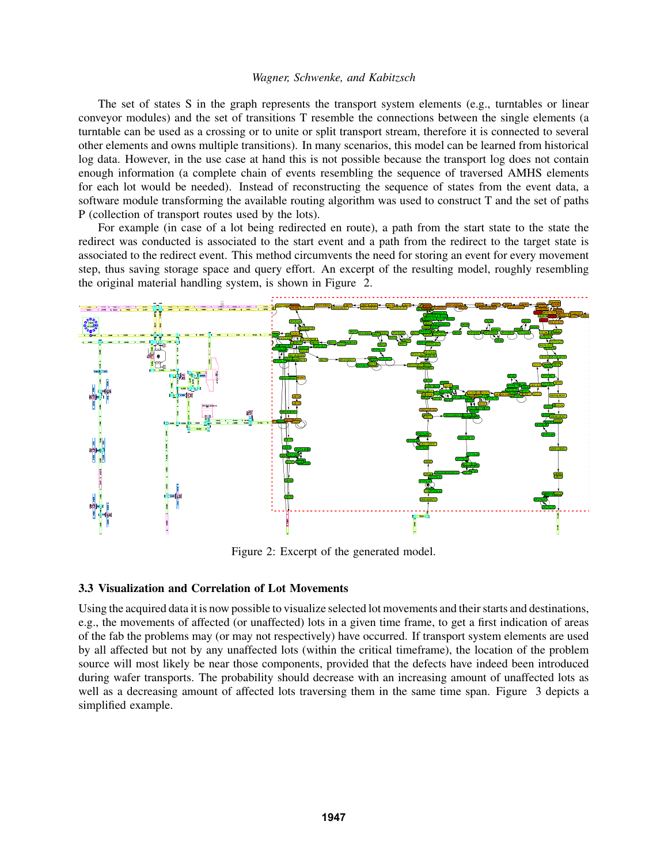The set of states S in the graph represents the transport system elements (e.g., turntables or linear conveyor modules) and the set of transitions T resemble the connections between the single elements (a turntable can be used as a crossing or to unite or split transport stream, therefore it is connected to several other elements and owns multiple transitions). In many scenarios, this model can be learned from historical log data. However, in the use case at hand this is not possible because the transport log does not contain enough information (a complete chain of events resembling the sequence of traversed AMHS elements for each lot would be needed). Instead of reconstructing the sequence of states from the event data, a software module transforming the available routing algorithm was used to construct T and the set of paths P (collection of transport routes used by the lots).

For example (in case of a lot being redirected en route), a path from the start state to the state the redirect was conducted is associated to the start event and a path from the redirect to the target state is associated to the redirect event. This method circumvents the need for storing an event for every movement step, thus saving storage space and query effort. An excerpt of the resulting model, roughly resembling the original material handling system, is shown in Figure 2.



Figure 2: Excerpt of the generated model.

### 3.3 Visualization and Correlation of Lot Movements

Using the acquired data it is now possible to visualize selected lot movements and their starts and destinations, e.g., the movements of affected (or unaffected) lots in a given time frame, to get a first indication of areas of the fab the problems may (or may not respectively) have occurred. If transport system elements are used by all affected but not by any unaffected lots (within the critical timeframe), the location of the problem source will most likely be near those components, provided that the defects have indeed been introduced during wafer transports. The probability should decrease with an increasing amount of unaffected lots as well as a decreasing amount of affected lots traversing them in the same time span. Figure 3 depicts a simplified example.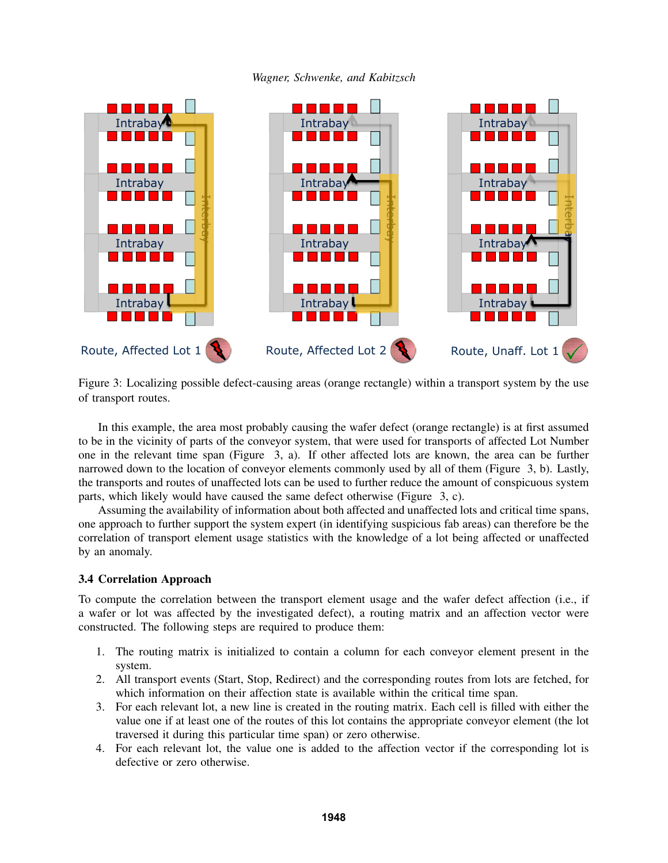

**Wagner, Schwenke, and Kabitzsch** 

Figure 3: Localizing possible defect-causing areas (orange rectangle) within a transport system by the use of transport routes.

In this example, the area most probably causing the wafer defect (orange rectangle) is at first assumed to be in the vicinity of parts of the conveyor system, that were used for transports of affected Lot Number one in the relevant time span (Figure 3, a). If other affected lots are known, the area can be further narrowed down to the location of conveyor elements commonly used by all of them (Figure 3, b). Lastly, the transports and routes of unaffected lots can be used to further reduce the amount of conspicuous system parts, which likely would have caused the same defect otherwise (Figure 3, c).

Assuming the availability of information about both affected and unaffected lots and critical time spans, one approach to further support the system expert (in identifying suspicious fab areas) can therefore be the correlation of transport element usage statistics with the knowledge of a lot being affected or unaffected by an anomaly.

# 3.4 Correlation Approach

To compute the correlation between the transport element usage and the wafer defect affection (i.e., if a wafer or lot was affected by the investigated defect), a routing matrix and an affection vector were constructed. The following steps are required to produce them:

- 1. The routing matrix is initialized to contain a column for each conveyor element present in the system.
- 2. All transport events (Start, Stop, Redirect) and the corresponding routes from lots are fetched, for which information on their affection state is available within the critical time span.
- 3. For each relevant lot, a new line is created in the routing matrix. Each cell is filled with either the value one if at least one of the routes of this lot contains the appropriate conveyor element (the lot traversed it during this particular time span) or zero otherwise.
- 4. For each relevant lot, the value one is added to the affection vector if the corresponding lot is defective or zero otherwise.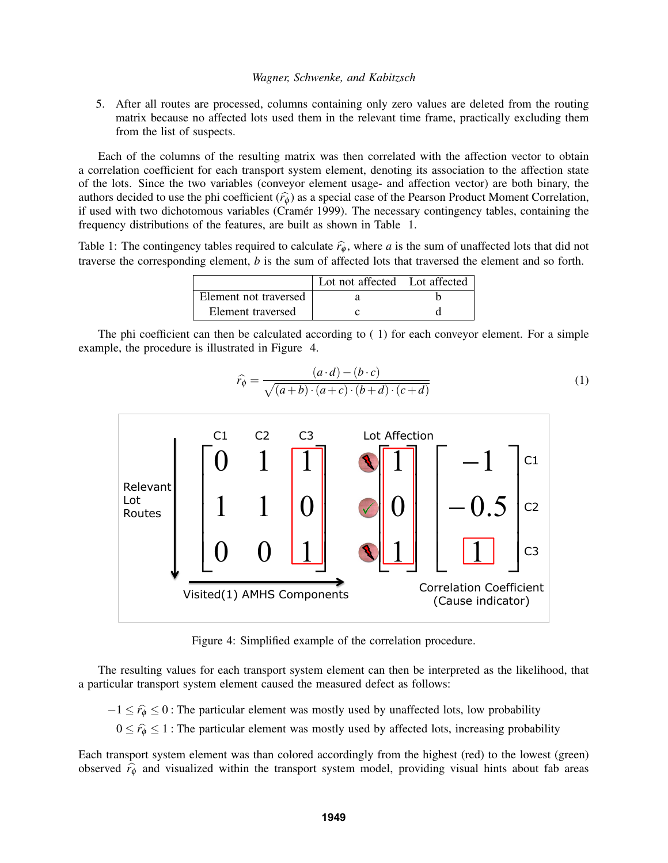5. After all routes are processed, columns containing only zero values are deleted from the routing matrix because no affected lots used them in the relevant time frame, practically excluding them from the list of suspects.

Each of the columns of the resulting matrix was then correlated with the affection vector to obtain a correlation coefficient for each transport system element, denoting its association to the affection state of the lots. Since the two variables (conveyor element usage- and affection vector) are both binary, the authors decided to use the phi coefficient  $(\hat{r}_\phi)$  as a special case of the Pearson Product Moment Correlation, if used with two dichotomous variables (Cramér 1999). The necessary contingency tables, containing the frequency distributions of the features, are built as shown in Table 1.

Table 1: The contingency tables required to calculate  $\hat{r}_{\phi}$ , where *a* is the sum of unaffected lots that did not traverse the corresponding element, *b* is the sum of affected lots that traversed the element and so forth.

|                       | Lot not affected Lot affected |  |
|-----------------------|-------------------------------|--|
| Element not traversed |                               |  |
| Element traversed     |                               |  |

The phi coefficient can then be calculated according to ( 1) for each conveyor element. For a simple example, the procedure is illustrated in Figure 4.

$$
\widehat{r}_{\phi} = \frac{(a \cdot d) - (b \cdot c)}{\sqrt{(a+b) \cdot (a+c) \cdot (b+d) \cdot (c+d)}}
$$
(1)



Figure 4: Simplified example of the correlation procedure.

The resulting values for each transport system element can then be interpreted as the likelihood, that a particular transport system element caused the measured defect as follows:

 $-1 \leq \hat{r}_{\phi} \leq 0$ : The particular element was mostly used by unaffected lots, low probability

 $0 \leq \hat{r}_\phi \leq 1$ : The particular element was mostly used by affected lots, increasing probability

Each transport system element was than colored accordingly from the highest (red) to the lowest (green) observed  $\hat{r}_{\phi}$  and visualized within the transport system model, providing visual hints about fab areas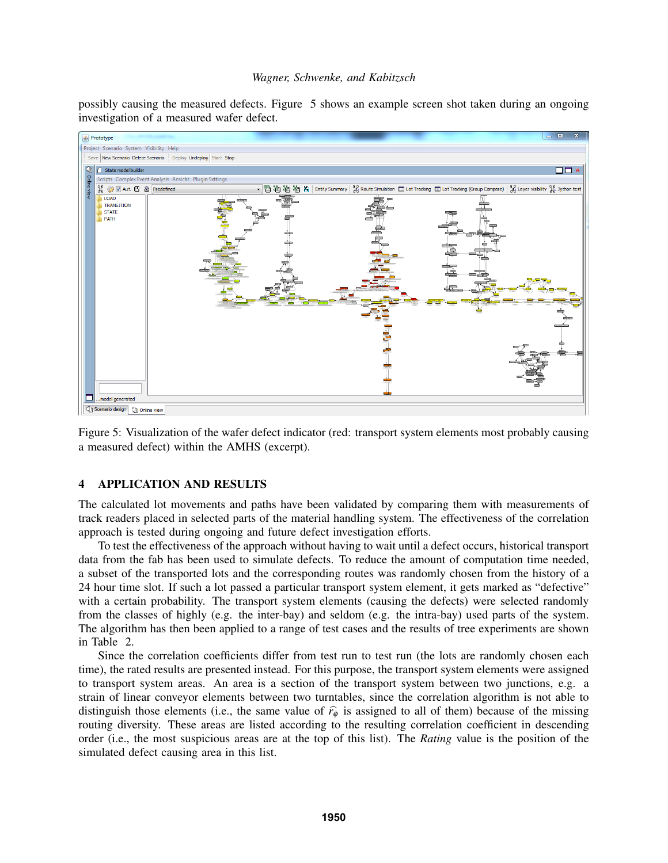possibly causing the measured defects. Figure 5 shows an example screen shot taken during an ongoing investigation of a measured wafer defect.



Figure 5: Visualization of the wafer defect indicator (red: transport system elements most probably causing a measured defect) within the AMHS (excerpt).

#### 4 APPLICATION AND RESULTS

The calculated lot movements and paths have been validated by comparing them with measurements of track readers placed in selected parts of the material handling system. The effectiveness of the correlation approach is tested during ongoing and future defect investigation efforts.

To test the effectiveness of the approach without having to wait until a defect occurs, historical transport data from the fab has been used to simulate defects. To reduce the amount of computation time needed, a subset of the transported lots and the corresponding routes was randomly chosen from the history of a 24 hour time slot. If such a lot passed a particular transport system element, it gets marked as "defective" with a certain probability. The transport system elements (causing the defects) were selected randomly from the classes of highly (e.g. the inter-bay) and seldom (e.g. the intra-bay) used parts of the system. The algorithm has then been applied to a range of test cases and the results of tree experiments are shown in Table 2.

Since the correlation coefficients differ from test run to test run (the lots are randomly chosen each time), the rated results are presented instead. For this purpose, the transport system elements were assigned to transport system areas. An area is a section of the transport system between two junctions, e.g. a strain of linear conveyor elements between two turntables, since the correlation algorithm is not able to distinguish those elements (i.e., the same value of  $\hat{r}_{\hat{\theta}}$  is assigned to all of them) because of the missing routing diversity. These areas are listed according to the resulting correlation coefficient in descending order (i.e., the most suspicious areas are at the top of this list). The *Rating* value is the position of the simulated defect causing area in this list.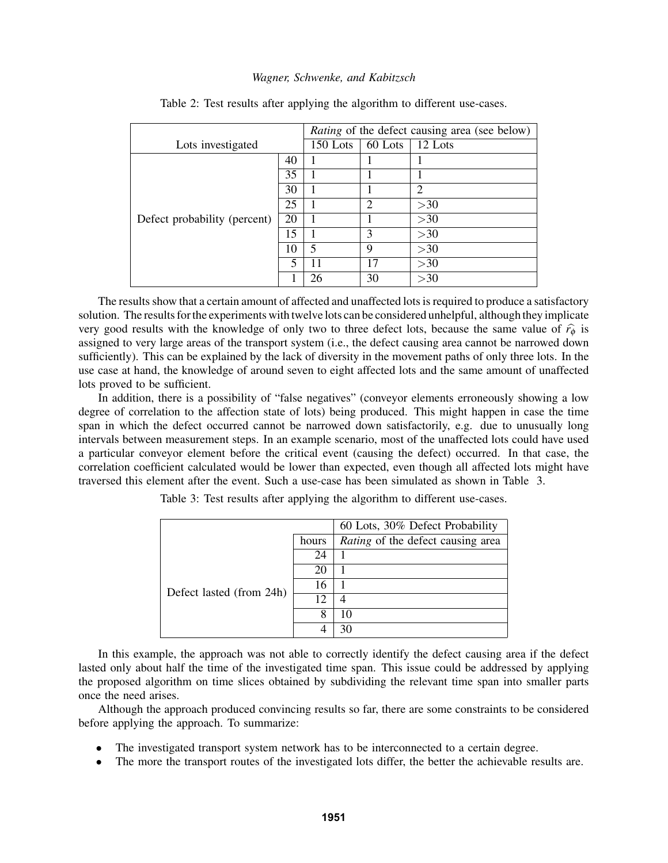|                              |    | <i>Rating</i> of the defect causing area (see below) |                |           |
|------------------------------|----|------------------------------------------------------|----------------|-----------|
| Lots investigated            |    | 150 Lots                                             | 60 Lots        | 12 Lots   |
| Defect probability (percent) | 40 |                                                      |                |           |
|                              | 35 |                                                      |                |           |
|                              | 30 |                                                      |                | 2         |
|                              | 25 |                                                      | $\overline{c}$ | >30       |
|                              | 20 |                                                      |                | >30       |
|                              | 15 |                                                      | 3              | >30       |
|                              | 10 | 5                                                    | 9              | >30       |
|                              | 5  | 11                                                   | 17             | >30       |
|                              |    | 26                                                   | 30             | $>\!\!30$ |

Table 2: Test results after applying the algorithm to different use-cases.

The results show that a certain amount of affected and unaffected lots is required to produce a satisfactory solution. The results for the experiments with twelve lots can be considered unhelpful, although they implicate very good results with the knowledge of only two to three defect lots, because the same value of  $\hat{r}_{\phi}$  is assigned to very large areas of the transport system (i.e., the defect causing area cannot be narrowed down sufficiently). This can be explained by the lack of diversity in the movement paths of only three lots. In the use case at hand, the knowledge of around seven to eight affected lots and the same amount of unaffected lots proved to be sufficient.

In addition, there is a possibility of "false negatives" (conveyor elements erroneously showing a low degree of correlation to the affection state of lots) being produced. This might happen in case the time span in which the defect occurred cannot be narrowed down satisfactorily, e.g. due to unusually long intervals between measurement steps. In an example scenario, most of the unaffected lots could have used a particular conveyor element before the critical event (causing the defect) occurred. In that case, the correlation coefficient calculated would be lower than expected, even though all affected lots might have traversed this element after the event. Such a use-case has been simulated as shown in Table 3.

|                          |       | 60 Lots, 30% Defect Probability   |
|--------------------------|-------|-----------------------------------|
|                          | hours | Rating of the defect causing area |
| Defect lasted (from 24h) | 24    |                                   |
|                          | 20    |                                   |
|                          | 16    |                                   |
|                          | 12    |                                   |
|                          | 8     | 10                                |
|                          |       | 30                                |

Table 3: Test results after applying the algorithm to different use-cases.

In this example, the approach was not able to correctly identify the defect causing area if the defect lasted only about half the time of the investigated time span. This issue could be addressed by applying the proposed algorithm on time slices obtained by subdividing the relevant time span into smaller parts once the need arises.

Although the approach produced convincing results so far, there are some constraints to be considered before applying the approach. To summarize:

- The investigated transport system network has to be interconnected to a certain degree.
- The more the transport routes of the investigated lots differ, the better the achievable results are.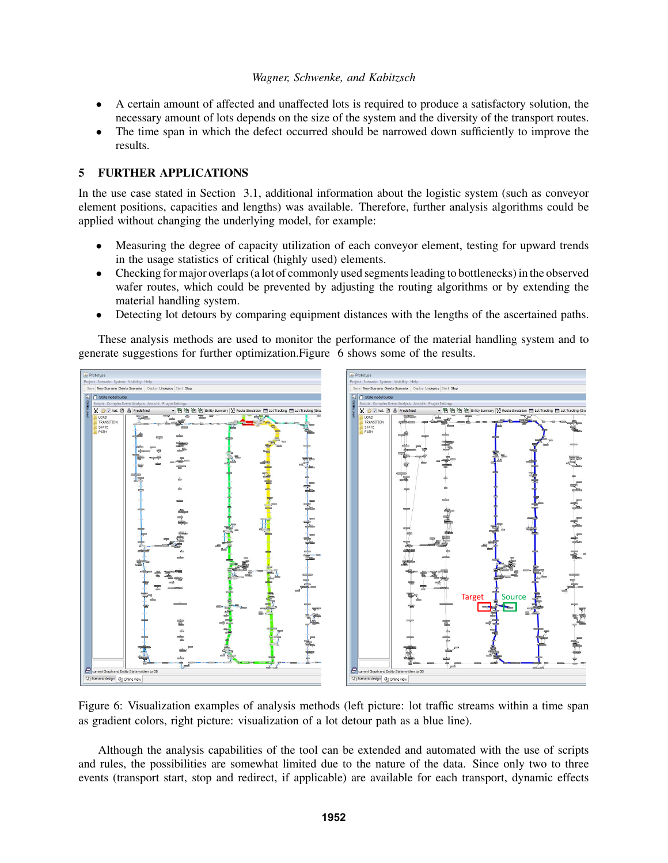- A certain amount of affected and unaffected lots is required to produce a satisfactory solution, the necessary amount of lots depends on the size of the system and the diversity of the transport routes.
- The time span in which the defect occurred should be narrowed down sufficiently to improve the results.

# 5 FURTHER APPLICATIONS

In the use case stated in Section 3.1, additional information about the logistic system (such as conveyor element positions, capacities and lengths) was available. Therefore, further analysis algorithms could be applied without changing the underlying model, for example:

- Measuring the degree of capacity utilization of each conveyor element, testing for upward trends in the usage statistics of critical (highly used) elements.
- Checking for major overlaps (a lot of commonly used segments leading to bottlenecks) in the observed wafer routes, which could be prevented by adjusting the routing algorithms or by extending the material handling system.
- Detecting lot detours by comparing equipment distances with the lengths of the ascertained paths.

These analysis methods are used to monitor the performance of the material handling system and to generate suggestions for further optimization.Figure 6 shows some of the results.



Figure 6: Visualization examples of analysis methods (left picture: lot traffic streams within a time span as gradient colors, right picture: visualization of a lot detour path as a blue line).

Although the analysis capabilities of the tool can be extended and automated with the use of scripts and rules, the possibilities are somewhat limited due to the nature of the data. Since only two to three events (transport start, stop and redirect, if applicable) are available for each transport, dynamic effects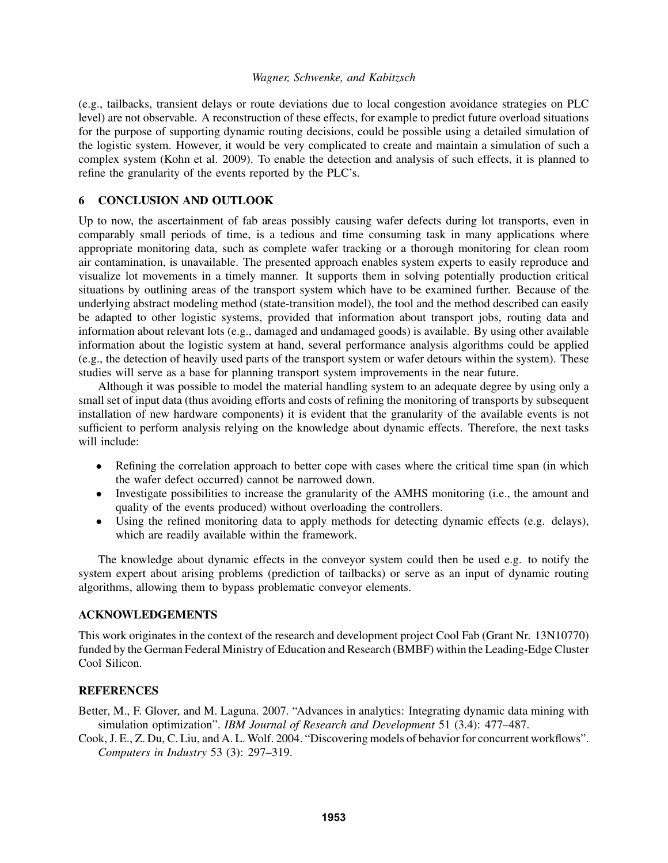(e.g., tailbacks, transient delays or route deviations due to local congestion avoidance strategies on PLC level) are not observable. A reconstruction of these effects, for example to predict future overload situations for the purpose of supporting dynamic routing decisions, could be possible using a detailed simulation of the logistic system. However, it would be very complicated to create and maintain a simulation of such a complex system (Kohn et al. 2009). To enable the detection and analysis of such effects, it is planned to refine the granularity of the events reported by the PLC's.

# 6 CONCLUSION AND OUTLOOK

Up to now, the ascertainment of fab areas possibly causing wafer defects during lot transports, even in comparably small periods of time, is a tedious and time consuming task in many applications where appropriate monitoring data, such as complete wafer tracking or a thorough monitoring for clean room air contamination, is unavailable. The presented approach enables system experts to easily reproduce and visualize lot movements in a timely manner. It supports them in solving potentially production critical situations by outlining areas of the transport system which have to be examined further. Because of the underlying abstract modeling method (state-transition model), the tool and the method described can easily be adapted to other logistic systems, provided that information about transport jobs, routing data and information about relevant lots (e.g., damaged and undamaged goods) is available. By using other available information about the logistic system at hand, several performance analysis algorithms could be applied (e.g., the detection of heavily used parts of the transport system or wafer detours within the system). These studies will serve as a base for planning transport system improvements in the near future.

Although it was possible to model the material handling system to an adequate degree by using only a small set of input data (thus avoiding efforts and costs of refining the monitoring of transports by subsequent installation of new hardware components) it is evident that the granularity of the available events is not sufficient to perform analysis relying on the knowledge about dynamic effects. Therefore, the next tasks will include:

- Refining the correlation approach to better cope with cases where the critical time span (in which the wafer defect occurred) cannot be narrowed down.
- Investigate possibilities to increase the granularity of the AMHS monitoring (i.e., the amount and quality of the events produced) without overloading the controllers.
- Using the refined monitoring data to apply methods for detecting dynamic effects (e.g. delays), which are readily available within the framework.

The knowledge about dynamic effects in the conveyor system could then be used e.g. to notify the system expert about arising problems (prediction of tailbacks) or serve as an input of dynamic routing algorithms, allowing them to bypass problematic conveyor elements.

### ACKNOWLEDGEMENTS

This work originates in the context of the research and development project Cool Fab (Grant Nr. 13N10770) funded by the German Federal Ministry of Education and Research (BMBF) within the Leading-Edge Cluster Cool Silicon.

### **REFERENCES**

Better, M., F. Glover, and M. Laguna. 2007. "Advances in analytics: Integrating dynamic data mining with simulation optimization". *IBM Journal of Research and Development* 51 (3.4): 477–487.

Cook, J. E., Z. Du, C. Liu, and A. L. Wolf. 2004. "Discovering models of behavior for concurrent workflows". *Computers in Industry* 53 (3): 297–319.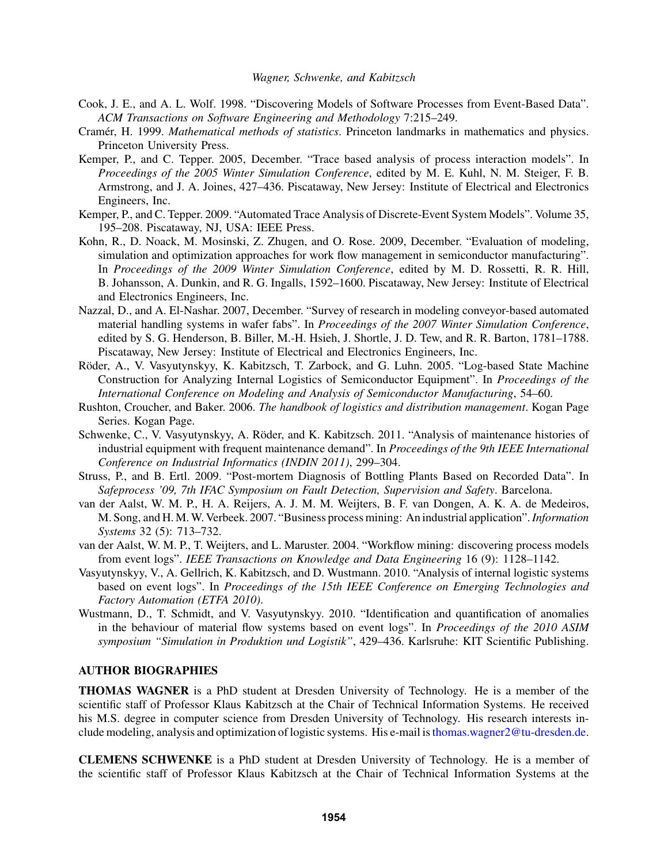- Cook, J. E., and A. L. Wolf. 1998. "Discovering Models of Software Processes from Event-Based Data". *ACM Transactions on Software Engineering and Methodology* 7:215–249.
- Cramér, H. 1999. *Mathematical methods of statistics*. Princeton landmarks in mathematics and physics. Princeton University Press.
- Kemper, P., and C. Tepper. 2005, December. "Trace based analysis of process interaction models". In *Proceedings of the 2005 Winter Simulation Conference*, edited by M. E. Kuhl, N. M. Steiger, F. B. Armstrong, and J. A. Joines, 427–436. Piscataway, New Jersey: Institute of Electrical and Electronics Engineers, Inc.
- Kemper, P., and C. Tepper. 2009. "Automated Trace Analysis of Discrete-Event System Models". Volume 35, 195–208. Piscataway, NJ, USA: IEEE Press.
- Kohn, R., D. Noack, M. Mosinski, Z. Zhugen, and O. Rose. 2009, December. "Evaluation of modeling, simulation and optimization approaches for work flow management in semiconductor manufacturing". In *Proceedings of the 2009 Winter Simulation Conference*, edited by M. D. Rossetti, R. R. Hill, B. Johansson, A. Dunkin, and R. G. Ingalls, 1592–1600. Piscataway, New Jersey: Institute of Electrical and Electronics Engineers, Inc.
- Nazzal, D., and A. El-Nashar. 2007, December. "Survey of research in modeling conveyor-based automated material handling systems in wafer fabs". In *Proceedings of the 2007 Winter Simulation Conference*, edited by S. G. Henderson, B. Biller, M.-H. Hsieh, J. Shortle, J. D. Tew, and R. R. Barton, 1781–1788. Piscataway, New Jersey: Institute of Electrical and Electronics Engineers, Inc.
- Röder, A., V. Vasyutynskyy, K. Kabitzsch, T. Zarbock, and G. Luhn. 2005. "Log-based State Machine Construction for Analyzing Internal Logistics of Semiconductor Equipment". In *Proceedings of the International Conference on Modeling and Analysis of Semiconductor Manufacturing*, 54–60.
- Rushton, Croucher, and Baker. 2006. *The handbook of logistics and distribution management*. Kogan Page Series. Kogan Page.
- Schwenke, C., V. Vasyutynskyy, A. Röder, and K. Kabitzsch. 2011. "Analysis of maintenance histories of industrial equipment with frequent maintenance demand". In *Proceedings of the 9th IEEE International Conference on Industrial Informatics (INDIN 2011)*, 299–304.
- Struss, P., and B. Ertl. 2009. "Post-mortem Diagnosis of Bottling Plants Based on Recorded Data". In *Safeprocess '09, 7th IFAC Symposium on Fault Detection, Supervision and Safety*. Barcelona.
- van der Aalst, W. M. P., H. A. Reijers, A. J. M. M. Weijters, B. F. van Dongen, A. K. A. de Medeiros, M. Song, and H. M.W. Verbeek. 2007. "Business process mining: An industrial application".*Information Systems* 32 (5): 713–732.
- van der Aalst, W. M. P., T. Weijters, and L. Maruster. 2004. "Workflow mining: discovering process models from event logs". *IEEE Transactions on Knowledge and Data Engineering* 16 (9): 1128–1142.
- Vasyutynskyy, V., A. Gellrich, K. Kabitzsch, and D. Wustmann. 2010. "Analysis of internal logistic systems based on event logs". In *Proceedings of the 15th IEEE Conference on Emerging Technologies and Factory Automation (ETFA 2010)*.
- Wustmann, D., T. Schmidt, and V. Vasyutynskyy. 2010. "Identification and quantification of anomalies in the behaviour of material flow systems based on event logs". In *Proceedings of the 2010 ASIM symposium "Simulation in Produktion und Logistik"*, 429–436. Karlsruhe: KIT Scientific Publishing.

#### AUTHOR BIOGRAPHIES

THOMAS WAGNER is a PhD student at Dresden University of Technology. He is a member of the scientific staff of Professor Klaus Kabitzsch at the Chair of Technical Information Systems. He received his M.S. degree in computer science from Dresden University of Technology. His research interests include modeling, analysis and optimization of logistic systems. His e-mail isthomas.wagner2@tu-dresden.de.

CLEMENS SCHWENKE is a PhD student at Dresden University of Technology. He is a member of the scientific staff of Professor Klaus Kabitzsch at the Chair of Technical Information Systems at the